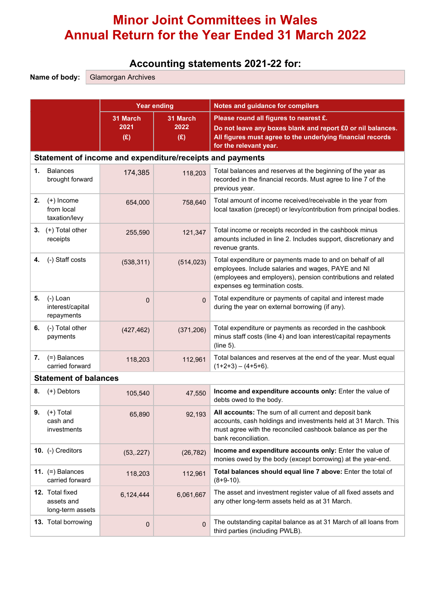# Minor Joint Committees in Wales Annual Return for the Year Ended 31 March 2022

## Accounting statements 2021-22 for:

Name of body: Glamorgan Archives

|    |                                                   | <b>Year ending</b> |                                                           | <b>Notes and guidance for compilers</b>                                                                                                                                                                            |  |  |  |  |
|----|---------------------------------------------------|--------------------|-----------------------------------------------------------|--------------------------------------------------------------------------------------------------------------------------------------------------------------------------------------------------------------------|--|--|--|--|
|    |                                                   |                    |                                                           |                                                                                                                                                                                                                    |  |  |  |  |
|    |                                                   | 31 March<br>2021   | 31 March<br>2022                                          | Please round all figures to nearest £.<br>Do not leave any boxes blank and report £0 or nil balances.                                                                                                              |  |  |  |  |
|    |                                                   | (E)                | (E)                                                       | All figures must agree to the underlying financial records<br>for the relevant year.                                                                                                                               |  |  |  |  |
|    |                                                   |                    | Statement of income and expenditure/receipts and payments |                                                                                                                                                                                                                    |  |  |  |  |
| 1. | <b>Balances</b><br>brought forward                | 174,385            | 118,203                                                   | Total balances and reserves at the beginning of the year as<br>recorded in the financial records. Must agree to line 7 of the<br>previous year.                                                                    |  |  |  |  |
| 2. | $(+)$ Income<br>from local<br>taxation/levy       | 654,000            | 758,640                                                   | Total amount of income received/receivable in the year from<br>local taxation (precept) or levy/contribution from principal bodies.                                                                                |  |  |  |  |
|    | 3. $(+)$ Total other<br>receipts                  | 255,590            | 121,347                                                   | Total income or receipts recorded in the cashbook minus<br>amounts included in line 2. Includes support, discretionary and<br>revenue grants.                                                                      |  |  |  |  |
| 4. | (-) Staff costs                                   | (538, 311)         | (514, 023)                                                | Total expenditure or payments made to and on behalf of all<br>employees. Include salaries and wages, PAYE and NI<br>(employees and employers), pension contributions and related<br>expenses eg termination costs. |  |  |  |  |
| 5. | $(-)$ Loan<br>interest/capital<br>repayments      | $\mathbf{0}$       | $\mathbf{0}$                                              | Total expenditure or payments of capital and interest made<br>during the year on external borrowing (if any).                                                                                                      |  |  |  |  |
| 6. | (-) Total other<br>payments                       | (427, 462)         | (371, 206)                                                | Total expenditure or payments as recorded in the cashbook<br>minus staff costs (line 4) and loan interest/capital repayments<br>$(line 5)$ .                                                                       |  |  |  |  |
| 7. | (=) Balances<br>carried forward                   | 118,203            | 112,961                                                   | Total balances and reserves at the end of the year. Must equal<br>$(1+2+3) - (4+5+6)$ .                                                                                                                            |  |  |  |  |
|    | <b>Statement of balances</b>                      |                    |                                                           |                                                                                                                                                                                                                    |  |  |  |  |
| 8. | (+) Debtors                                       | 105,540            | 47,550                                                    | Income and expenditure accounts only: Enter the value of<br>debts owed to the body.                                                                                                                                |  |  |  |  |
| 9. | $(+)$ Total<br>cash and<br>investments            | 65,890             | 92,193                                                    | All accounts: The sum of all current and deposit bank<br>accounts, cash holdings and investments held at 31 March. This<br>must agree with the reconciled cashbook balance as per the<br>bank reconciliation.      |  |  |  |  |
|    | 10. (-) Creditors                                 | (53, .227)         | (26, 782)                                                 | Income and expenditure accounts only: Enter the value of<br>monies owed by the body (except borrowing) at the year-end.                                                                                            |  |  |  |  |
|    | 11. $(=)$ Balances<br>carried forward             | 118,203            | 112,961                                                   | Total balances should equal line 7 above: Enter the total of<br>$(8+9-10)$ .                                                                                                                                       |  |  |  |  |
|    | 12. Total fixed<br>assets and<br>long-term assets | 6,124,444          | 6,061,667                                                 | The asset and investment register value of all fixed assets and<br>any other long-term assets held as at 31 March.                                                                                                 |  |  |  |  |
|    | 13. Total borrowing                               | $\mathbf 0$        | $\overline{0}$                                            | The outstanding capital balance as at 31 March of all loans from<br>third parties (including PWLB).                                                                                                                |  |  |  |  |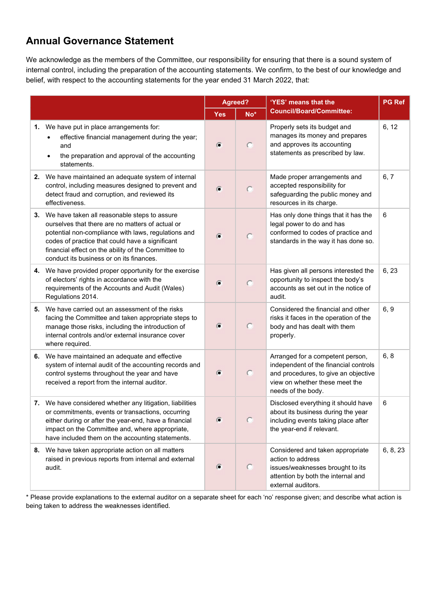### Annual Governance Statement

We acknowledge as the members of the Committee, our responsibility for ensuring that there is a sound system of internal control, including the preparation of the accounting statements. We confirm, to the best of our knowledge and belief, with respect to the accounting statements for the year ended 31 March 2022, that:

|                                                                                                                                                                                                                                                                                                                  |            | Agreed?         | 'YES' means that the                                                                                                                                                      | <b>PG Ref</b> |
|------------------------------------------------------------------------------------------------------------------------------------------------------------------------------------------------------------------------------------------------------------------------------------------------------------------|------------|-----------------|---------------------------------------------------------------------------------------------------------------------------------------------------------------------------|---------------|
|                                                                                                                                                                                                                                                                                                                  | <b>Yes</b> | No <sup>*</sup> | <b>Council/Board/Committee:</b>                                                                                                                                           |               |
| 1. We have put in place arrangements for:<br>effective financial management during the year;<br>and<br>the preparation and approval of the accounting<br>statements.                                                                                                                                             | $\sigma$   | $\circ$         | Properly sets its budget and<br>manages its money and prepares<br>and approves its accounting<br>statements as prescribed by law.                                         | 6, 12         |
| 2. We have maintained an adequate system of internal<br>control, including measures designed to prevent and<br>detect fraud and corruption, and reviewed its<br>effectiveness.                                                                                                                                   | Œ          | $\circ$         | Made proper arrangements and<br>accepted responsibility for<br>safeguarding the public money and<br>resources in its charge.                                              | 6, 7          |
| 3. We have taken all reasonable steps to assure<br>ourselves that there are no matters of actual or<br>potential non-compliance with laws, regulations and<br>codes of practice that could have a significant<br>financial effect on the ability of the Committee to<br>conduct its business or on its finances. | G          | $\circ$         | Has only done things that it has the<br>legal power to do and has<br>conformed to codes of practice and<br>standards in the way it has done so.                           | 6             |
| 4. We have provided proper opportunity for the exercise<br>of electors' rights in accordance with the<br>requirements of the Accounts and Audit (Wales)<br>Regulations 2014.                                                                                                                                     | $\sigma$   | $\circ$         | Has given all persons interested the<br>opportunity to inspect the body's<br>accounts as set out in the notice of<br>audit.                                               | 6, 23         |
| 5. We have carried out an assessment of the risks<br>facing the Committee and taken appropriate steps to<br>manage those risks, including the introduction of<br>internal controls and/or external insurance cover<br>where required.                                                                            | $\sigma$   | $\circ$         | Considered the financial and other<br>risks it faces in the operation of the<br>body and has dealt with them<br>properly.                                                 | 6, 9          |
| 6. We have maintained an adequate and effective<br>system of internal audit of the accounting records and<br>control systems throughout the year and have<br>received a report from the internal auditor.                                                                                                        | $\sigma$   | $\circ$         | Arranged for a competent person,<br>independent of the financial controls<br>and procedures, to give an objective<br>view on whether these meet the<br>needs of the body. | 6, 8          |
| 7. We have considered whether any litigation, liabilities<br>or commitments, events or transactions, occurring<br>either during or after the year-end, have a financial<br>impact on the Committee and, where appropriate,<br>have included them on the accounting statements.                                   |            |                 | Disclosed everything it should have<br>about its business during the year<br>including events taking place after<br>the year-end if relevant.                             | 6             |
| 8. We have taken appropriate action on all matters<br>raised in previous reports from internal and external<br>audit.                                                                                                                                                                                            | $\sigma$   | $\circ$         | Considered and taken appropriate<br>action to address<br>issues/weaknesses brought to its<br>attention by both the internal and<br>external auditors.                     | 6, 8, 23      |

\* Please provide explanations to the external auditor on a separate sheet for each 'no' response given; and describe what action is being taken to address the weaknesses identified.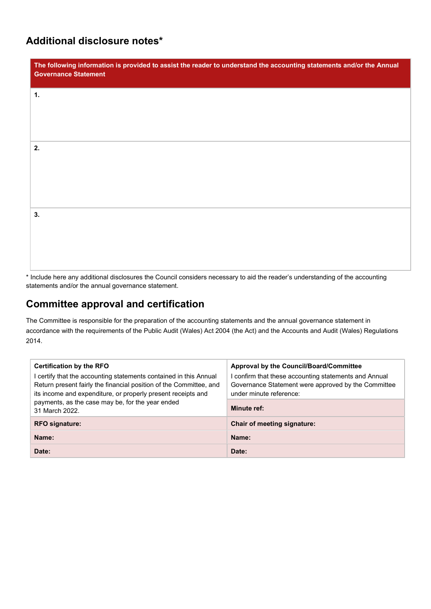### Additional disclosure notes\*

| The following information is provided to assist the reader to understand the accounting statements and/or the Annual<br><b>Governance Statement</b> |
|-----------------------------------------------------------------------------------------------------------------------------------------------------|
| 1.                                                                                                                                                  |
|                                                                                                                                                     |
| 2.                                                                                                                                                  |
|                                                                                                                                                     |
| 3.                                                                                                                                                  |
|                                                                                                                                                     |
|                                                                                                                                                     |

\* Include here any additional disclosures the Council considers necessary to aid the reader's understanding of the accounting statements and/or the annual governance statement.

## Committee approval and certification

The Committee is responsible for the preparation of the accounting statements and the annual governance statement in accordance with the requirements of the Public Audit (Wales) Act 2004 (the Act) and the Accounts and Audit (Wales) Regulations 2014.

| <b>Certification by the RFO</b><br>I certify that the accounting statements contained in this Annual<br>Return present fairly the financial position of the Committee, and<br>its income and expenditure, or properly present receipts and | Approval by the Council/Board/Committee<br>confirm that these accounting statements and Annual<br>Governance Statement were approved by the Committee<br>under minute reference: |  |  |
|--------------------------------------------------------------------------------------------------------------------------------------------------------------------------------------------------------------------------------------------|----------------------------------------------------------------------------------------------------------------------------------------------------------------------------------|--|--|
| payments, as the case may be, for the year ended<br>31 March 2022.                                                                                                                                                                         | Minute ref:                                                                                                                                                                      |  |  |
| <b>RFO signature:</b>                                                                                                                                                                                                                      | <b>Chair of meeting signature:</b>                                                                                                                                               |  |  |
| Name:                                                                                                                                                                                                                                      | Name:                                                                                                                                                                            |  |  |
| Date:                                                                                                                                                                                                                                      | Date:                                                                                                                                                                            |  |  |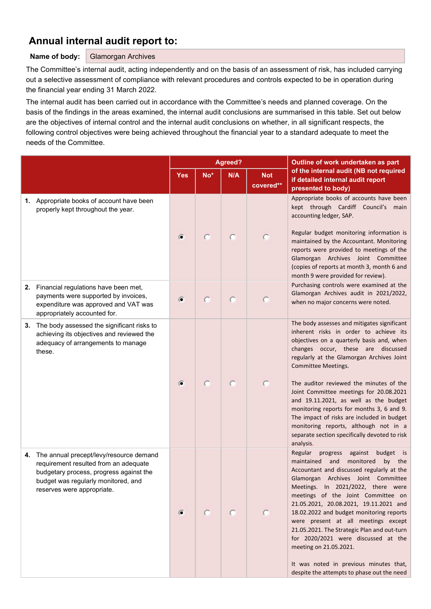### Annual internal audit report to:

#### Name of body: Glamorgan Archives

The Committee's internal audit, acting independently and on the basis of an assessment of risk, has included carrying out a selective assessment of compliance with relevant procedures and controls expected to be in operation during the financial year ending 31 March 2022.

The internal audit has been carried out in accordance with the Committee's needs and planned coverage. On the basis of the findings in the areas examined, the internal audit conclusions are summarised in this table. Set out below are the objectives of internal control and the internal audit conclusions on whether, in all significant respects, the following control objectives were being achieved throughout the financial year to a standard adequate to meet the needs of the Committee.

|    |                                                                                                                                                                                                  | Agreed?   |            |            |                         | Outline of work undertaken as part                                                                                                                                                                                                                                                                                                                                                                                                                                                                                                                                                                          |
|----|--------------------------------------------------------------------------------------------------------------------------------------------------------------------------------------------------|-----------|------------|------------|-------------------------|-------------------------------------------------------------------------------------------------------------------------------------------------------------------------------------------------------------------------------------------------------------------------------------------------------------------------------------------------------------------------------------------------------------------------------------------------------------------------------------------------------------------------------------------------------------------------------------------------------------|
|    |                                                                                                                                                                                                  |           | No*        | N/A        | <b>Not</b><br>covered** | of the internal audit (NB not required<br>if detailed internal audit report<br>presented to body)                                                                                                                                                                                                                                                                                                                                                                                                                                                                                                           |
|    | 1. Appropriate books of account have been<br>properly kept throughout the year.                                                                                                                  | G         |            | $\subset$  |                         | Appropriate books of accounts have been<br>kept through Cardiff Council's main<br>accounting ledger, SAP.<br>Regular budget monitoring information is<br>maintained by the Accountant. Monitoring<br>reports were provided to meetings of the<br>Glamorgan Archives Joint Committee<br>(copies of reports at month 3, month 6 and                                                                                                                                                                                                                                                                           |
|    | 2. Financial regulations have been met,<br>payments were supported by invoices,<br>expenditure was approved and VAT was<br>appropriately accounted for.                                          | G         | $\bigcirc$ | $\bigcirc$ |                         | month 9 were provided for review).<br>Purchasing controls were examined at the<br>Glamorgan Archives audit in 2021/2022,<br>when no major concerns were noted.                                                                                                                                                                                                                                                                                                                                                                                                                                              |
| 3. | The body assessed the significant risks to<br>achieving its objectives and reviewed the<br>adequacy of arrangements to manage<br>these.                                                          | $\sigma$  |            | O          |                         | The body assesses and mitigates significant<br>inherent risks in order to achieve its<br>objectives on a quarterly basis and, when<br>changes occur, these are discussed<br>regularly at the Glamorgan Archives Joint<br>Committee Meetings.<br>The auditor reviewed the minutes of the<br>Joint Committee meetings for 20.08.2021<br>and 19.11.2021, as well as the budget<br>monitoring reports for months 3, 6 and 9.<br>The impact of risks are included in budget<br>monitoring reports, although not in a<br>separate section specifically devoted to risk                                            |
| 4. | The annual precept/levy/resource demand<br>requirement resulted from an adequate<br>budgetary process, progress against the<br>budget was regularly monitored, and<br>reserves were appropriate. | $\subset$ |            | $\bullet$  | $\circ$                 | analysis.<br>progress<br>Regular<br>against<br>budget is<br>maintained<br>and<br>monitored<br>by<br>the<br>Accountant and discussed regularly at the<br>Glamorgan Archives Joint Committee<br>Meetings. In 2021/2022, there were<br>meetings of the Joint Committee on<br>21.05.2021, 20.08.2021, 19.11.2021 and<br>18.02.2022 and budget monitoring reports<br>were present at all meetings except<br>21.05.2021. The Strategic Plan and out-turn<br>for 2020/2021 were discussed at the<br>meeting on 21.05.2021.<br>It was noted in previous minutes that,<br>despite the attempts to phase out the need |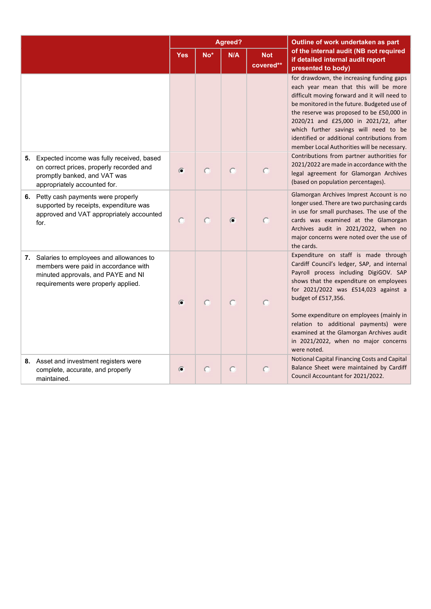|                                                                                                                                                                 |          |                 | Agreed? |                         | Outline of work undertaken as part                                                                                                                                                                                                                                                                                                                                                                                              |
|-----------------------------------------------------------------------------------------------------------------------------------------------------------------|----------|-----------------|---------|-------------------------|---------------------------------------------------------------------------------------------------------------------------------------------------------------------------------------------------------------------------------------------------------------------------------------------------------------------------------------------------------------------------------------------------------------------------------|
|                                                                                                                                                                 |          | No <sup>*</sup> | N/A     | <b>Not</b><br>covered** | of the internal audit (NB not required<br>if detailed internal audit report<br>presented to body)                                                                                                                                                                                                                                                                                                                               |
|                                                                                                                                                                 |          |                 |         |                         | for drawdown, the increasing funding gaps<br>each year mean that this will be more<br>difficult moving forward and it will need to<br>be monitored in the future. Budgeted use of<br>the reserve was proposed to be £50,000 in<br>2020/21 and £25,000 in 2021/22, after<br>which further savings will need to be<br>identified or additional contributions from<br>member Local Authorities will be necessary.                  |
| 5. Expected income was fully received, based<br>on correct prices, properly recorded and<br>promptly banked, and VAT was<br>appropriately accounted for.        | G        |                 | C       |                         | Contributions from partner authorities for<br>2021/2022 are made in accordance with the<br>legal agreement for Glamorgan Archives<br>(based on population percentages).                                                                                                                                                                                                                                                         |
| 6. Petty cash payments were properly<br>supported by receipts, expenditure was<br>approved and VAT appropriately accounted<br>for.                              | C        | C               | G       |                         | Glamorgan Archives Imprest Account is no<br>longer used. There are two purchasing cards<br>in use for small purchases. The use of the<br>cards was examined at the Glamorgan<br>Archives audit in 2021/2022, when no<br>major concerns were noted over the use of<br>the cards.                                                                                                                                                 |
| 7. Salaries to employees and allowances to<br>members were paid in accordance with<br>minuted approvals, and PAYE and NI<br>requirements were properly applied. | $\sigma$ |                 | C       |                         | Expenditure on staff is made through<br>Cardiff Council's ledger, SAP, and internal<br>Payroll process including DigiGOV. SAP<br>shows that the expenditure on employees<br>for 2021/2022 was £514,023 against a<br>budget of £517,356.<br>Some expenditure on employees (mainly in<br>relation to additional payments) were<br>examined at the Glamorgan Archives audit<br>in 2021/2022, when no major concerns<br>were noted. |
| 8. Asset and investment registers were<br>complete, accurate, and properly<br>maintained.                                                                       | Œ        | O               | C       |                         | Notional Capital Financing Costs and Capital<br>Balance Sheet were maintained by Cardiff<br>Council Accountant for 2021/2022.                                                                                                                                                                                                                                                                                                   |